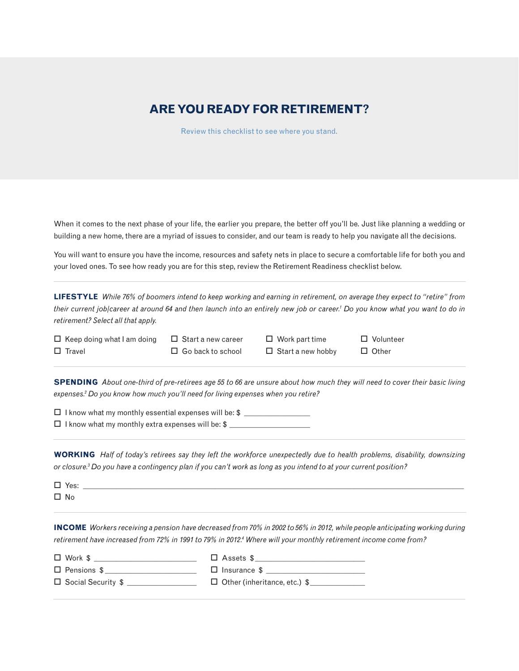## **ARE YOU READY FOR RETIREMENT?**

Review this checklist to see where you stand.

When it comes to the next phase of your life, the earlier you prepare, the better off you'll be. Just like planning a wedding or building a new home, there are a myriad of issues to consider, and our team is ready to help you navigate all the decisions.

You will want to ensure you have the income, resources and safety nets in place to secure a comfortable life for both you and your loved ones. To see how ready you are for this step, review the Retirement Readiness checklist below.

**LIFESTYLE** *While 76% of boomers intend to keep working and earning in retirement, on average they expect to "retire" from their current job/career at around 64 and then launch into an entirely new job or career.1 Do you know what you want to do in retirement? Select all that apply.*

- $\Box$  Keep doing what I am doing  $\Box$  Start a new career  $\Box$  Work part time  $\Box$  Volunteer  $\Box$  Travel  $\Box$  Go back to school  $\Box$  Start a new hobby  $\Box$  Other
	-
- 

**SPENDING** *About one-third of pre-retirees age 55 to 66 are unsure about how much they will need to cover their basic living expenses.2 Do you know how much you'll need for living expenses when you retire?*

 $\Box$  I know what my monthly essential expenses will be:  $\$\_$ 

 $\Box$  I know what my monthly extra expenses will be: \$  $\Box$ 

**WORKING** *Half of today's retirees say they left the workforce unexpectedly due to health problems, disability, downsizing or closure.3 Do you have a contingency plan if you can't work as long as you intend to at your current position?*

| $\Box$ Yes:            |  |
|------------------------|--|
| $\square$ No<br>$\sim$ |  |

**INCOME** *Workers receiving a pension have decreased from 70% in 2002 to 56% in 2012, while people anticipating working during*  retirement have increased from 72% in 1991 to 79% in 2012.<sup>4</sup> Where will your monthly retirement income come from?

 $\Box \text{ Work $$\underbrace{\hspace{1.5cm}}$} \quad \Box \text{ Assets $$\underbrace{\hspace{1.5cm}}$}$  $\Box$  Pensions \$

| $\Box$ Insurance \$ |  |
|---------------------|--|
|                     |  |

 $\Box$  Social Security  $\quad \quad \Box$  Other (inheritance, etc.)  $\quad \quad \Box$